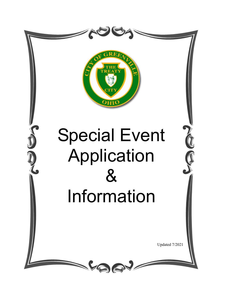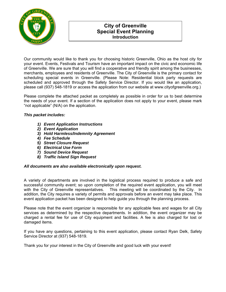

# **City of Greenville Special Event Planning Introduction**

Our community would like to thank you for choosing historic Greenville, Ohio as the host city for your event. Events, Festivals and Tourism have an important impact on the civic and economic life of Greenville. We are sure that you will find a cooperative and friendly spirit among the businesses, merchants, employees and residents of Greenville. The City of Greenville is the primary contact for scheduling special events in Greenville. (Please Note: Residential block party requests are scheduled and approved through the Safety Service Director. If you would like an application, please call (937) 548-1819 or access the application from our website at www.cityofgreenville.org.)

Please complete the attached packet as completely as possible in order for us to best determine the needs of your event. If a section of the application does not apply to your event, please mark "not applicable" (N/A) on the application.

# *This packet includes:*

- *1) Event Application Instructions*
- *2) Event Application*
- *3) Hold Harmless/Indemnity Agreement*
- *4) Fee Schedule*
- *5) Street Closure Request*
- *6) Electrical Use Form*
- *7) Sound Device Request*
- *8) Traffic Island Sign Request*

# *All documents are also available electronically upon request.*

A variety of departments are involved in the logistical process required to produce a safe and successful community event; so upon completion of the required event application, you will meet with the City of Greenville representatives. This meeting will be coordinated by the City. In addition, the City requires a variety of permits and approvals before an event may take place. This event application packet has been designed to help guide you through the planning process.

Please note that the event organizer is responsible for any applicable fees and wages for all City services as determined by the respective departments. In addition, the event organizer may be charged a rental fee for use of City equipment and facilities. A fee is also charged for lost or damaged items.

If you have any questions, pertaining to this event application, please contact Ryan Delk, Safety Service Director at (937) 548-1819.

Thank you for your interest in the City of Greenville and good luck with your event!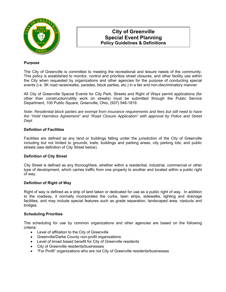

# **City of Greenville Special Event Planning Policy Guidelines & Definitions**

# **Purpose**

The City of Greenville is committed to meeting the recreational and leisure needs of the community. This policy is established to monitor, control and prioritize street closures, and other facility use within the City when requested by organizations and other agencies for the purpose of conducting special events (i.e. 5K road races/walks, parades, block parties, etc.) in a fair and non-discriminatory manner.

All City of Greenville Special Events for City Park, Streets and Right of Ways permit applications (for other than construction/utility work on streets) must be submitted through the Public Service Department, 100 Public Square, Greenville, Ohio, (937) 548-1819.

*Note: Residential block parties are exempt from insurance requirements and fees but still need to have the "Hold Harmless Agreement" and "Road Closure Application" with approval by Police and Street Dept.* 

# **Definition of Facilities**

Facilities are defined as any land or buildings falling under the jurisdiction of the City of Greenville including but not limited to grounds; trails; buildings and parking areas; city parking lots; and public streets (see definition of City Street below).

# **Definition of City Street**

City Street is defined as any thoroughfare, whether within a residential, industrial, commercial or other type of development, which carries traffic from one property to another and located within a public right of way.

## **Definition of Right of Way**

Right of way is defined as a strip of land taken or dedicated for use as a public right of way. In addition to the roadway, it normally incorporates the curbs, lawn strips, sidewalks, lighting and drainage facilities, and may include special features such as grade separation, landscaped area, viaducts and bridges.

## **Scheduling Priorities**

The scheduling for use by common organizations and other agencies are based on the following criteria:

- Level of affiliation to the City of Greenville
- Greenville/Darke County non-profit organizations
- Level of broad based benefit for City of Greenville residents
- City of Greenville residents/businesses
- "For Profit" organizations who are not City of Greenville residents/businesses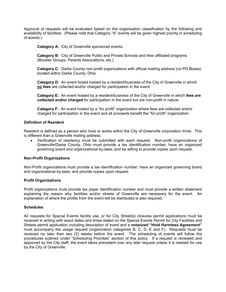Approval of requests will be evaluated based on the organization classification by the following and availability of facilities: (Please note that Category "A" events will be given highest priority in scheduling of events.)

**Category A:** City of Greenville sponsored events.

**Category B:** City of Greenville Public and Private Schools and their affiliated programs (Booster Groups, Parents Associations, etc.)

**Category C:** Darke County non-profit organizations with official mailing address (no PO Boxes) located within Darke County, Ohio.

**Category D:** An event hosed hosted by a resident/business of the City of Greenville in which **no fees** are collected and/or charged for participation in the event.

**Category E:** An event hosted by a resident/business of the City of Greenville in which **fees are collected and/or charged** for participation in the event but are non-profit in nature.

**Category F:** An event hosted by a "for profit" organization where fees are collected and/or charged for participation in the event and all proceeds benefit the "for profit" organization.

## **Definition of Resident**

Resident is defined as a person who lives or works within the City of Greenville corporation limits. This is different than a Greenville mailing address.

 Verification of residency must be submitted with each request. Non-profit organizations of Greenville/Darke County, Ohio must provide a tax identification number; have an organized governing board and organizational by-laws; and be willing to provide copies upon request.

## **Non-Profit Organizations**

Non-Profit organizations must provide a tax identification number; have an organized governing board and organizational by-laws; and provide copies upon request.

# **Profit Organizations**

Profit organizations must provide tax payer identification number and must provide a written statement explaining the reason why facilities and/or streets of Greenville are necessary for the event. An explanation of where the profits from the event will be distributed is also required.

## **Schedules**

All requests for Special Events facility use, or for City Street(s) closures permit applications must be received in writing with exact dates and times stated on the Special Events Permit for City Facilities and Streets permit application including description of event and a *notarized* **"Hold Harmless Agreement"** must accompany the usage request (organization categories B, C, D, E and F). Requests must be received no later than two (2) weeks before the event. The scheduling of events will follow the procedures outlined under "Scheduling Priorities" section of this policy. If a request is reviewed and approved by the City staff, the event takes precedent over any later request unless it is needed for use by the City of Greenville.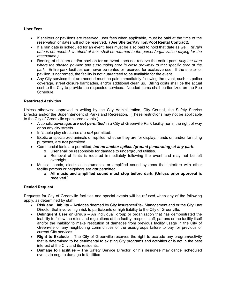# **User Fees**

- If shelters or pavilions are reserved, user fees when applicable, must be paid at the time of the reservation or dates will not be reserved. (See **Shelter/Pavilion/Pool Rental Contract**).
- If a rain date is scheduled for an event, fees must be also paid to hold that date as well. *(If rain date is not needed, a refund of fees shall be returned to the person/organization paying for the reservation.)*
- Renting of shelters and/or pavilion for an event does not reserve the entire park; *only the area where the shelter, pavilion and surrounding area in close proximity to that specific area of the park.* Entire park facilities can never be rented or reserved for exclusive use. If the shelter or pavilion is not rented, the facility is not guaranteed to be available for the event.
- Any City services that are needed must be paid immediately following the event, such as police coverage, street closure barricades, and/or additional clean up. Billing costs shall be the actual cost to the City to provide the requested services. Needed items shall be itemized on the Fee Schedule.

# **Restricted Activities**

Unless otherwise approved in writing by the City Administration, City Council, the Safety Service Director and/or the Superintendent of Parks and Recreation. (These restrictions may not be applicable to the City of Greenville sponsored events.)

- Alcoholic beverages *are not permitted* in a City of Greenville Park facility nor in the right of way or on any city streets.
- Inflatable play structures are *not* permitted.
- Exotic or specialized animals or reptiles; whether they are for display, hands on and/or for riding purposes, are *not* permitted.
- Commercial tents are permitted, *but no anchor spikes (ground penetrating) at any park*.
	- o User shall be responsible for damage to underground utilities.
	- o Removal of tents is required immediately following the event and may not be left overnight.
- Musical bands, electrical instruments, or amplified sound systems that interfere with other facility patrons or neighbors are *not* permitted.
	- o **All music and amplified sound must stop before dark. (Unless prior approval is received.)**

# **Denied Request**

Requests for City of Greenville facilities and special events will be refused when any of the following apply, as determined by staff:

- **Risk and Liability** Activities deemed by City Insurance/Risk Management and or the City Law Director that involve high risk to participants or high liability to the City of Greenville.
- **Delinquent User or Group** An individual, group or organization that has demonstrated the inability to follow the rules and regulations of the facility; respect staff, patrons or the facility itself and/or the inability to make restitution of damages from previous facility usage in the City of Greenville or any neighboring communities or the user/groups failure to pay for previous or current City services.
- **Right to Exclude** The City of Greenville reserves the right to exclude any program/activity that is determined to be detrimental to existing City programs and activities or is not in the best interest of the City and its residents.
- **Damage to Facilities** The Safety Service Director, or his designee may cancel scheduled events to negate damage to facilities.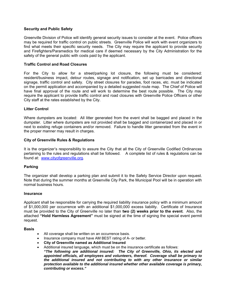# **Security and Public Safety**

Greenville Division of Police will identify general security issues to consider at the event. Police officers may be required for traffic control on public streets. Greenville Police will work with event organizers to find what meets their specific security needs. The City may require the applicant to provide security and Firefighters/Paramedics for medical care if deemed necessary by the City Administration for the safety of the general public with costs paid by the applicant.

# **Traffic Control and Road Closures**

For the City to allow for a street/parking lot closure, the following must be considered: resident/business impact, detour routes, signage and notification, set up barricades and directional signage, traffic control and safety. City street closures for parades, foot races, etc. must be indicated on the permit application and accompanied by a detailed suggested route map. The Chief of Police will have final approval of the route and will work to determine the best route possible. The City may require the applicant to provide traffic control and road closures with Greenville Police Officers or other City staff at the rates established by the City.

# **Litter Control**

Where dumpsters are located: All litter generated from the event shall be bagged and placed in the dumpster. Litter where dumpsters are not provided shall be bagged and containerized and placed in or next to existing refuge containers and/or removed. Failure to handle litter generated from the event in the proper manner may result in charges.

# **City of Greenville Rules & Regulations**

It is the organizer's responsibility to assure the City that all the City of Greenville Codified Ordinances pertaining to the rules and regulations shall be followed. A complete list of rules & regulations can be found at: www.cityofgreenville.org.

## **Parking**

The organizer shall develop a parking plan and submit it to the Safety Service Director upon request. Note that during the summer months at Greenville City Park, the Municipal Pool will be in operation with normal business hours.

## **Insurance**

Applicant shall be responsible for carrying the required liability insurance policy with a minimum amount of \$1,000,000 per occurrence with an additional \$1,000,000 excess liability. Certificate of Insurance must be provided to the City of Greenville no later than **two (2) weeks prior to the event**. Also, the attached **"Hold Harmless Agreement"** must be signed at the time of signing the special event permit request.

## **Basis**

- All coverage shall be written on an occurrence basis.
- Insurance company must have AM BEST rating of A- or better.
- **City of Greenville named as Additional Insured**
- Additional insured language, which must be on the insurance certificate as follows:

*"The following are additional insured: The City of Greenville, Ohio, its elected and appointed officials, all employees and volunteers, thereof. Coverage shall be primary to the additional insured and not contributing to with any other insurance or similar protection available to the additional insured whether other available coverage is primary, contributing or excess."*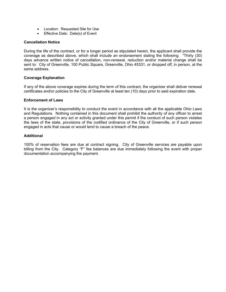- Location: Requested Site for Use
- Effective Date: Date(s) of Event

# **Cancellation Notice**

During the life of the contract, or for a longer period as stipulated herein, the applicant shall provide the coverage as described above, which shall include an endorsement stating the following: "Thirty (30) days advance written notice of cancellation, non-renewal, reduction and/or material change shall be sent to: City of Greenville, 100 Public Square, Greenville, Ohio 45331, or dropped off, in person, at the same address.

# **Coverage Explanation**

If any of the above coverage expires during the term of this contract, the organizer shall deliver renewal certificates and/or policies to the City of Greenville at least ten (10) days prior to said expiration date.

# **Enforcement of Laws**

It is the organizer's responsibility to conduct the event in accordance with all the applicable Ohio Laws and Regulations. Nothing contained in this document shall prohibit the authority of any officer to arrest a person engaged in any act or activity granted under this permit if the conduct of such person violates the laws of the state, provisions of the codified ordinance of the City of Greenville, or if such person engaged in acts that cause or would tend to cause a breach of the peace.

# **Additional**

100% of reservation fees are due at contract signing. City of Greenville services are payable upon billing from the City. Category "F" fee balances are due immediately following the event with proper documentation accompanying the payment.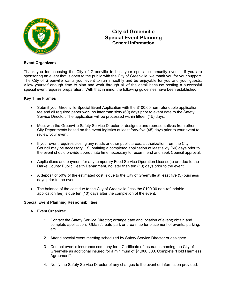

# **City of Greenville Special Event Planning General Information**

# **Event Organizers**

Thank you for choosing the City of Greenville to host your special community event. If you are sponsoring an event that is open to the public with the City of Greenville, we thank you for your support. The City of Greenville wants your event to run smoothly and be enjoyable for you and your guests. Allow yourself enough time to plan and work through all of the detail because hosting a successful special event requires preparation. With that in mind, the following guidelines have been established:

# **Key Time Frames**

- Submit your Greenville Special Event Application with the \$100.00 non-refundable application fee and all required paper work no later than sixty (60) days prior to event date to the Safety Service Director. The application will be processed within fifteen (15) days.
- Meet with the Greenville Safety Service Director or designee and representatives from other City Departments based on the event logistics at least forty-five (45) days prior to your event to review your event.
- If your event requires closing any roads or other public areas, authorization from the City Council may be necessary. Submitting a completed application at least sixty (60) days prior to the event should provide appropriate time necessary to recommend and seek Council approval.
- Applications and payment for any temporary Food Service Operation License(s) are due to the Darke County Public Health Department, no later than ten (10) days prior to the event.
- A deposit of 50% of the estimated cost is due to the City of Greenville at least five (5) business days prior to the event.
- The balance of the cost due to the City of Greenville (less the \$100.00 non-refundable application fee) is due ten (10) days after the completion of the event.

# **Special Event Planning Responsibilities**

- A. Event Organizer:
	- 1. Contact the Safety Service Director; arrange date and location of event; obtain and complete application. Obtain/create park or area map for placement of events, parking, etc.
	- 2. Attend special event meeting scheduled by Safety Service Director or designee.
	- 3. Contact event's insurance company for a Certificate of Insurance naming the City of Greenville as additional insured for a minimum of \$1,000,000. Complete "Hold Harmless Agreement".
	- 4. Notify the Safety Service Director of any changes to the event or information provided.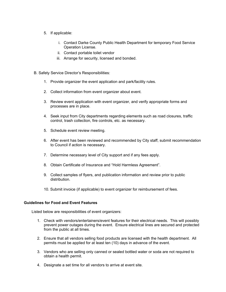- 5. If applicable:
	- i. Contact Darke County Public Health Department for temporary Food Service Operation License.
	- ii. Contact portable toilet vendor
	- iii. Arrange for security, licensed and bonded.
- B. Safety Service Director's Responsibilities:
	- 1. Provide organizer the event application and park/facility rules.
	- 2. Collect information from event organizer about event.
	- 3. Review event application with event organizer, and verify appropriate forms and processes are in place.
	- 4. Seek input from City departments regarding elements such as road closures, traffic control, trash collection, fire controls, etc. as necessary.
	- 5. Schedule event review meeting.
	- 6. After event has been reviewed and recommended by City staff, submit recommendation to Council if action is necessary.
	- 7. Determine necessary level of City support and if any fees apply.
	- 8. Obtain Certificate of Insurance and "Hold Harmless Agreement".
	- 9. Collect samples of flyers, and publication information and review prior to public distribution.
	- 10. Submit invoice (if applicable) to event organizer for reimbursement of fees.

# **Guidelines for Food and Event Features**

Listed below are responsibilities of event organizers:

- 1. Check with vendors/entertainers/event features for their electrical needs. This will possibly prevent power outages during the event. Ensure electrical lines are secured and protected from the public at all times.
- 2. Ensure that all vendors selling food products are licensed with the health department. All permits must be applied for at least ten (10) days in advance of the event.
- 3. Vendors who are selling only canned or sealed bottled water or soda are not required to obtain a health permit.
- 4. Designate a set time for all vendors to arrive at event site.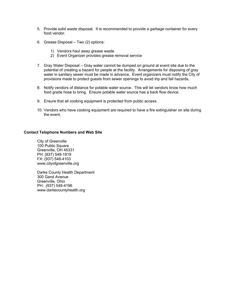- 5. Provide solid waste disposal. It is recommended to provide a garbage container for every food vendor.
- 6. Grease Disposal Two (2) options:
	- 1) Vendors haul away grease waste
	- 2) Event Organizer provides grease removal service
- 7. Gray Water Disposal Gray water cannot be dumped on ground at event site due to the potential of creating a hazard for people at the facility. Arrangements for disposing of gray water in sanitary sewer must be made in advance. Event organizers must notify the City of provisions made to protect guests from sewer openings to avoid trip and fall hazards.
- 8. Notify vendors of distance for potable water source. This will let vendors know how much food grade hose to bring. Ensure potable water source has a back flow device.
- 9. Ensure that all cooking equipment is protected from public access.
- 10. Vendors who have cooking equipment are required to have a fire extinguisher on site during the event.

# **Contact Telephone Numbers and Web Site**

City of Greenville 100 Public Square Greenville, OH 45331 PH: (937) 548-1819 FX: (937) 548-4103 www.cityofgreenville.org

Darke County Health Department 300 Garst Avenue Greenville, Ohio PH: (937) 548-4196 www.darkecountyhealth.org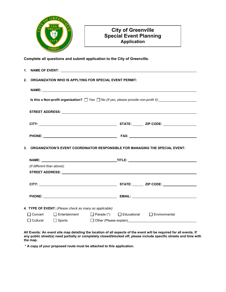

# **City of Greenville Special Event Planning Application**

**Complete all questions and submit application to the City of Greenville.** 

|                                                                                                                     | 2. ORGANIZATION WHO IS APPLYING FOR SPECIAL EVENT PERMIT:            |  |  |                                                                                 |  |  |  |
|---------------------------------------------------------------------------------------------------------------------|----------------------------------------------------------------------|--|--|---------------------------------------------------------------------------------|--|--|--|
|                                                                                                                     |                                                                      |  |  |                                                                                 |  |  |  |
| Is this a Non-profit organization? $\Box$ Yes $\Box$ No (If yes, please provide non-profit #): $\Box$ $\Box$ $\Box$ |                                                                      |  |  |                                                                                 |  |  |  |
|                                                                                                                     |                                                                      |  |  |                                                                                 |  |  |  |
|                                                                                                                     |                                                                      |  |  |                                                                                 |  |  |  |
|                                                                                                                     |                                                                      |  |  |                                                                                 |  |  |  |
|                                                                                                                     |                                                                      |  |  | 3. ORGANIZATION'S EVENT COORDINATOR RESPONSIBLE FOR MANAGING THE SPECIAL EVENT: |  |  |  |
|                                                                                                                     |                                                                      |  |  |                                                                                 |  |  |  |
| (If different than above):                                                                                          |                                                                      |  |  |                                                                                 |  |  |  |
|                                                                                                                     |                                                                      |  |  |                                                                                 |  |  |  |
|                                                                                                                     |                                                                      |  |  |                                                                                 |  |  |  |
|                                                                                                                     |                                                                      |  |  |                                                                                 |  |  |  |
|                                                                                                                     | 4. TYPE OF EVENT: (Please check as many as applicable)               |  |  |                                                                                 |  |  |  |
|                                                                                                                     | □ Concert □ Entertainment □ Parade (*) □ Educational □ Environmental |  |  |                                                                                 |  |  |  |
|                                                                                                                     | □ Cultural □ Sports □ Other (Please explain) □                       |  |  |                                                                                 |  |  |  |

**All Events: An event site map detailing the location of all aspects of the event will be required for all events. If any public street(s) need partially or completely closed/blocked off, please include specific streets and time with the map.** 

**\* A copy of your proposed route must be attached to this application.**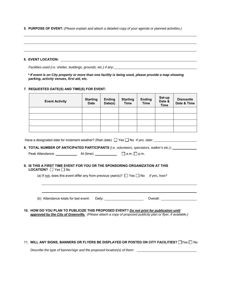**5**. **PURPOSE OF EVENT:** *(Please explain and attach a detailed copy of your agenda or planned activities.)*

| 6. EVENT LOCATION: |  |  |  |
|--------------------|--|--|--|

*Facilities used (i.e. shelter, buildings, grounds, etc.) if any:* 

 *\* If event is on City property or more than one facility is being used, please provide a map showing parking, activity venues, first aid, etc.* 

### **7**. **REQUESTED DATE(S) AND TIME(S) FOR EVENT:**

 $\overline{a}$ 

| <b>Event Activity</b> | <b>Starting</b><br><b>Date</b> | <b>Ending</b><br>Date(s) | <b>Starting</b><br><b>Time</b> | <b>Ending</b><br><b>Time</b> | Set-up<br>Date &<br><b>Time</b> | <b>Dismantle</b><br>Date & Time |
|-----------------------|--------------------------------|--------------------------|--------------------------------|------------------------------|---------------------------------|---------------------------------|
|                       |                                |                          |                                |                              |                                 |                                 |
|                       |                                |                          |                                |                              |                                 |                                 |
|                       |                                |                          |                                |                              |                                 |                                 |
|                       |                                |                          |                                |                              |                                 |                                 |

| Have a designated date for inclement weather? (Rain date) $\Box$ Yes $\Box$ No If yes, date: |
|----------------------------------------------------------------------------------------------|
|----------------------------------------------------------------------------------------------|

**8. TOTAL NUMBER OF ANTICIPATED PARTICIPANTS** *(i.e. volunteers, spectators, walker's etc.)***:**

| Peak Attendance: | At (time): | $\perp$ la.m. I lp.m. |
|------------------|------------|-----------------------|
|------------------|------------|-----------------------|

**9. IS THIS A FIRST TIME EVENT FOR YOU OR THE SPONSORING ORGANIZATION AT THIS LOCATION?** □ Yes □ No

(a) If not, does this event differ any from previous year(s)?  $\Box$  Yes  $\Box$  No *If yes, how?* 

(b) Attendance totals for last event: Daily: Overall:

**10. HOW DO YOU PLAN TO PUBLICIZE THIS PROPOSED EVENT?** *Do not print for publication until approved by the City of Greenville. (Please attach a copy of proposed publicity plan or flyer, if available.)* 

11. WILL ANY SIGNS, BANNERS OR FLYERS BE DISPLAYED OR POSTED ON CITY FACILITIES?  $\Box$ Yes  $\Box$  No

 *Describe the type of banner/sign and the proposed location(s) of them:*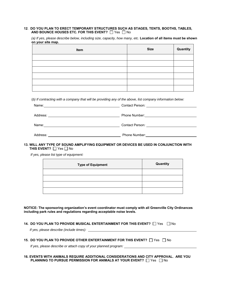### **12**. **DO YOU PLAN TO ERECT TEMPORARY STRUCTURES SUCH AS STAGES, TENTS, BOOTHS, TABLES, AND BOUNCE HOUSES ETC. FOR THIS EVENT?**  $\Box$  Yes  $\Box$  No

*(a) If yes, please describe below, including size, capacity, how many, etc.* **Location of all items must be shown on your site map.** 

| Item | <b>Size</b> | Quantity |
|------|-------------|----------|
|      |             |          |
|      |             |          |
|      |             |          |
|      |             |          |
|      |             |          |
|      |             |          |

(*b) If contracting with a company that will be providing any of the above, list company information below:* 

| Name:    | Contact Person: <u>_________________________</u> |
|----------|--------------------------------------------------|
| Address: | Phone Number:                                    |
| Name:    | Contact Person: _______________________________  |
| Address: | <b>Phone Number:</b>                             |

## **13. WILL ANY TYPE OF SOUND AMPLIFYING EQUIPMENT OR DEVICES BE USED IN CONJUNCTION WITH THIS EVENT?** □ Yes □ No

*If yes, please list type of equipment:* 

| <b>Type of Equipment</b> | Quantity |
|--------------------------|----------|
|                          |          |
|                          |          |
|                          |          |
|                          |          |

**NOTICE: The sponsoring organization's event coordinator must comply with all Greenville City Ordinances including park rules and regulations regarding acceptable noise levels.** 

## **14. DO YOU PLAN TO PROVIDE MUSICAL ENTERTAINMENT FOR THIS EVENT?**  $\Box$  Yes  $\Box$  No

 *If yes, please describe (include times):* 

#### **15. DO YOU PLAN TO PROVIDE OTHER ENTERTAINMENT FOR THIS EVENT?**  $\Box$  Yes  $\Box$  No

*If yes, please describe or attach copy of your planned program:* 

#### **16. EVENTS WITH ANIMALS REQUIRE ADDITIONAL CONSIDERATIONS AND CITY APPROVAL. ARE YOU PLANNING TO PURSUE PERMISSION FOR ANIMALS AT YOUR EVENT?**  $\Box$  Yes  $\Box$  No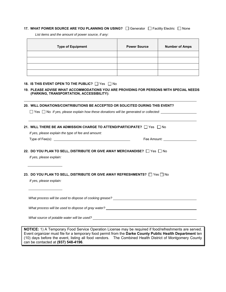## **17. WHAT POWER SOURCE ARE YOU PLANNING ON USING?**  $\Box$  Generator  $\Box$  Facility Electric  $\Box$  None

**Type of Equipment**  Power Source | Number of Amps

*List items and the amount of power source, if any:* 

#### **18. IS THIS EVENT OPEN TO THE PUBLIC?**  $\Box$  Yes  $\Box$  No

### **19. PLEASE ADVISE WHAT ACCOMMODATIONS YOU ARE PROVIDING FOR PERSONS WITH SPECIAL NEEDS (PARKING, TRANSPORTATION, ACCESSIBILITY):**

**20. WILL DONATIONS/CONTRIBUTIONS BE ACCEPTED OR SOLICITED DURING THIS EVENT?** 

□ Yes □ No *If yes, please explain how these donations will be generated or collected:* 

**21. WILL THERE BE AN ADMISSION CHARGE TO ATTEND/PARTICIPATE?**  $\Box$  Yes  $\Box$  No

*If yes, please explain the type of fee and amount:* 

Type of Fee $(s)$ :  $\_\_$ 

 $\overline{a}$ 

| Fee Amount: |  |
|-------------|--|
|             |  |

**22. DO YOU PLAN TO SELL, DISTRIBUTE OR GIVE AWAY MERCHANDISE?**  $\Box$  Yes  $\Box$  No

 *If yes, please explain:* 

### **23. DO YOU PLAN TO SELL, DISTRIBUTE OR GIVE AWAY REFRESHMENTS?**  $\Box$  Yes  $\Box$  No

 *If yes, please explain:* 

 *What process will be used to dispose of cooking grease?* 

 *What process will be used to dispose of gray water?* 

 *What source of potable water will be used?* 

**NOTICE:** 1) A Temporary Food Service Operation License may be required if food/refreshments are served. Event organizer must file for a temporary food permit from the **Darke County Public Health Department** ten (10) days before the event, listing all food vendors. The Combined Health District of Montgomery County can be contacted at **(937) 548-4196**.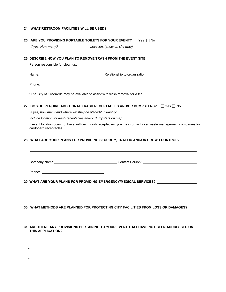|                                                                 | 25. ARE YOU PROVIDING PORTABLE TOILETS FOR YOUR EVENT? THAS TO No                                                                                                                                                              |
|-----------------------------------------------------------------|--------------------------------------------------------------------------------------------------------------------------------------------------------------------------------------------------------------------------------|
|                                                                 |                                                                                                                                                                                                                                |
|                                                                 | 26. DESCRIBE HOW YOU PLAN TO REMOVE TRASH FROM THE EVENT SITE: Network the state of the state of the state of the state of the state of the state of the state of the state of the state of the state of the state of the stat |
| Person responsible for clean up:                                |                                                                                                                                                                                                                                |
|                                                                 |                                                                                                                                                                                                                                |
|                                                                 |                                                                                                                                                                                                                                |
|                                                                 | * The City of Greenville may be available to assist with trash removal for a fee.                                                                                                                                              |
|                                                                 | 27. DO YOU REQUIRE ADDITIONAL TRASH RECEPTACLES AND/OR DUMPSTERS? In Yes In No                                                                                                                                                 |
|                                                                 |                                                                                                                                                                                                                                |
| Include location for trash receptacles and/or dumpsters on map. |                                                                                                                                                                                                                                |
| cardboard receptacles.                                          | If event location does not have sufficient trash receptacles, you may contact local waste management companies for                                                                                                             |
|                                                                 |                                                                                                                                                                                                                                |
|                                                                 | 28. WHAT ARE YOUR PLANS FOR PROVIDING SECURITY, TRAFFIC AND/OR CROWD CONTROL?                                                                                                                                                  |
|                                                                 |                                                                                                                                                                                                                                |
|                                                                 |                                                                                                                                                                                                                                |
|                                                                 |                                                                                                                                                                                                                                |
|                                                                 | 29. WHAT ARE YOUR PLANS FOR PROVIDING EMERGENCY/MEDICAL SERVICES? ______________                                                                                                                                               |
|                                                                 |                                                                                                                                                                                                                                |
|                                                                 |                                                                                                                                                                                                                                |
|                                                                 |                                                                                                                                                                                                                                |

**31. ARE THERE ANY PROVISIONS PERTAINING TO YOUR EVENT THAT HAVE NOT BEEN ADDRESSED ON THIS APPLICATION?** 

 $\frac{1}{2} \left( \frac{1}{2} \right)$  ,  $\frac{1}{2} \left( \frac{1}{2} \right)$ 

 $\omega_{\rm{max}}$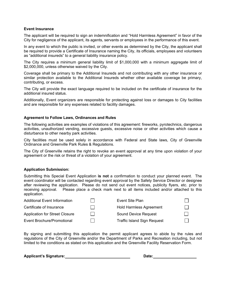# **Event Insurance**

The applicant will be required to sign an indemnification and "Hold Harmless Agreement" in favor of the City for negligence of the applicant, its agents, servants or employees in the performance of this event.

In any event to which the public is invited, or other events as determined by the City, the applicant shall be required to provide a Certificate of Insurance naming the City, its officials, employees and volunteers as "additional insureds" to a general liability insurance policy.

The City requires a minimum general liability limit of \$1,000,000 with a minimum aggregate limit of \$2,000,000, unless otherwise waived by the City.

Coverage shall be primary to the Additional Insureds and not contributing with any other insurance or similar protection available to the Additional Insureds whether other available coverage be primary, contributing, or excess.

The City will provide the exact language required to be included on the certificate of insurance for the additional insured status.

Additionally, Event organizers are responsible for protecting against loss or damages to City facilities and are responsible for any expenses related to facility damages.

# **Agreement to Follow Laws, Ordinances and Rules**

The following activities are examples of violations of this agreement: fireworks, pyrotechnics, dangerous activities, unauthorized vending, excessive guests, excessive noise or other activities which cause a disturbance to other nearby park activities.

City facilities must be used solely in accordance with Federal and State laws, City of Greenville Ordinance and Greenville Park Rules & Regulations.

The City of Greenville retains the right to revoke an event approval at any time upon violation of your agreement or the risk or threat of a violation of your agreement.

## **Application Submission:**

Submitting this Special Event Application **is not** a confirmation to conduct your planned event. The event coordinator will be contacted regarding event approval by the Safety Service Director or designee after reviewing the application. Please do not send out event notices, publicity flyers, etc. prior to receiving approval. Please place a check mark next to all items included and/or attached to this application.

| <b>Additional Event Information</b>   | Event Site Plan                    |  |
|---------------------------------------|------------------------------------|--|
| Certificate of Insurance              | <b>Hold Harmless Agreement</b>     |  |
| <b>Application for Street Closure</b> | <b>Sound Device Request</b>        |  |
| Event Brochure/Promotional            | <b>Traffic Island Sign Request</b> |  |

By signing and submitting this application the permit applicant agrees to abide by the rules and regulations of the City of Greenville and/or the Department of Parks and Recreation including, but not limited to the conditions as stated on this application and the Greenville Facility Reservation Form.

**Applicant's Signature: Date: Date: Date: D**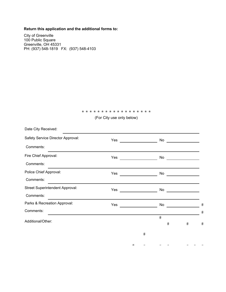# **Return this application and the additional forms to:**

City of Greenville 100 Public Square Greenville, OH 45331 PH: (937) 548-1819 FX: (937) 548-4103

### \* \* \* \* \* \* \* \* \* \* \* \* \* \* \* \* \* \*

(For City use only below)

| Yes |       |              |                |                                                                                                                                                                                                                                     |                                    |              |              |
|-----|-------|--------------|----------------|-------------------------------------------------------------------------------------------------------------------------------------------------------------------------------------------------------------------------------------|------------------------------------|--------------|--------------|
|     |       |              |                |                                                                                                                                                                                                                                     |                                    |              |              |
| Yes |       |              |                |                                                                                                                                                                                                                                     |                                    |              |              |
|     |       |              |                |                                                                                                                                                                                                                                     |                                    |              |              |
| Yes |       |              |                |                                                                                                                                                                                                                                     |                                    |              |              |
|     |       |              |                |                                                                                                                                                                                                                                     |                                    |              |              |
|     |       |              |                |                                                                                                                                                                                                                                     |                                    |              |              |
|     |       |              |                |                                                                                                                                                                                                                                     |                                    |              |              |
|     |       |              |                |                                                                                                                                                                                                                                     |                                    |              | #            |
|     |       |              |                |                                                                                                                                                                                                                                     |                                    |              | #            |
|     |       |              | #              |                                                                                                                                                                                                                                     |                                    |              | #            |
|     |       |              |                |                                                                                                                                                                                                                                     |                                    |              |              |
|     |       | $\#$         |                |                                                                                                                                                                                                                                     |                                    |              |              |
|     | $\pm$ | $\mathbf{H}$ | $\blacksquare$ | $\mathbf{H}$                                                                                                                                                                                                                        | $\mathbf{H}$                       | $\mathbf{H}$ | $\mathbf{H}$ |
|     |       |              |                | <b>Yes</b> and the set of the set of the set of the set of the set of the set of the set of the set of the set of the set of the set of the set of the set of the set of the set of the set of the set of the set of the set of the | No<br>No<br>No<br>No<br>No<br>$\#$ | $\#$         |              |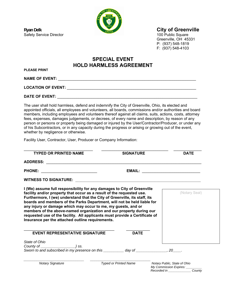

# **Ryan Delk** City of Greenville

Greenville, OH 45331 P: (937) 548-1819 F: (937) 548-4103

# **SPECIAL EVENT HOLD HARMLESS AGREEMENT**

**PLEASE PRINT** 

**NAME OF EVENT:** \_\_\_\_\_\_\_\_\_\_\_\_\_\_\_\_\_\_\_\_\_\_\_\_\_\_\_\_\_\_\_\_\_\_\_\_\_\_\_\_\_\_\_\_\_\_\_\_\_\_\_\_\_\_\_\_\_\_\_\_\_\_\_\_

LOCATION OF EVENT:

**DATE OF EVENT:** \_\_\_\_\_\_\_\_\_\_\_\_\_\_\_\_\_\_\_\_\_\_\_\_\_\_\_\_\_\_\_\_\_\_\_\_\_\_\_\_\_\_\_\_\_\_\_\_\_\_\_\_\_\_\_\_\_\_\_\_\_\_\_\_\_

The user shall hold harmless, defend and indemnify the City of Greenville, Ohio, its elected and appointed officials, all employees and volunteers, all boards, commissions and/or authorities and board members, including employees and volunteers thereof against all claims, suits, actions, costs, attorney fees, expenses, damages judgements, or decrees, of every name and description, by reason of any person or persons or property being damaged or injured by the User/Contractor/Producer, or under any of his Subcontractors, or in any capacity during the progress or arising or growing out of the event, whether by negligence or otherwise.

Facility User, Contractor, User, Producer or Company Information:

| <b>TYPED OR PRINTED NAME</b>                                                                                                                                                                                                                                                                                                                                                                                                                                                                                                                                                         | <b>SIGNATURE</b>             | <b>DATE</b>                                                                 |
|--------------------------------------------------------------------------------------------------------------------------------------------------------------------------------------------------------------------------------------------------------------------------------------------------------------------------------------------------------------------------------------------------------------------------------------------------------------------------------------------------------------------------------------------------------------------------------------|------------------------------|-----------------------------------------------------------------------------|
|                                                                                                                                                                                                                                                                                                                                                                                                                                                                                                                                                                                      |                              |                                                                             |
| PHONE: ____________________________                                                                                                                                                                                                                                                                                                                                                                                                                                                                                                                                                  |                              |                                                                             |
| <b>WITNESS TO SIGNATURE:</b>                                                                                                                                                                                                                                                                                                                                                                                                                                                                                                                                                         |                              |                                                                             |
| I (We) assume full responsibility for any damages to City of Greenville<br>facility and/or property that occur as a result of the requested use.<br>Furthermore, I (we) understand that the City of Greenville, its staff, its<br>boards and members of the Parks Department, will not be held liable for<br>any injury or damage which may occur to me, my guests, and or<br>members of the above-named organization and our property during our<br>requested use of the facility. All applicants must provide a Certificate of<br>Insurance per the attached outline requirements. |                              | (Notary Seal)                                                               |
| <b>EVENT REPRESENTATIVE SIGNATURE</b>                                                                                                                                                                                                                                                                                                                                                                                                                                                                                                                                                | <b>DATE</b>                  |                                                                             |
| State of Ohio                                                                                                                                                                                                                                                                                                                                                                                                                                                                                                                                                                        |                              |                                                                             |
|                                                                                                                                                                                                                                                                                                                                                                                                                                                                                                                                                                                      |                              |                                                                             |
| Sworn to and subscribed in my presence on this ___________ day of _____________, 20____.                                                                                                                                                                                                                                                                                                                                                                                                                                                                                             |                              |                                                                             |
| <b>Notary Signature</b>                                                                                                                                                                                                                                                                                                                                                                                                                                                                                                                                                              | <b>Typed or Printed Name</b> | Notary Public, State of Ohio<br>$M_{1}$ Commission $\Gamma_{1}$ is $\sigma$ |

 *My Commission Expires: \_\_\_\_\_\_\_\_\_ Recorded in \_\_\_\_\_\_\_\_\_\_\_\_\_ County*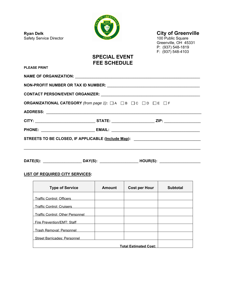**Ryan Delk City of Greenville**<br>
Safety Service Director **City of Greenville** Safety Service Director

**PLEASE PRINT** 



Greenville, OH 45331 P: (937) 548-1819 F: (937) 548-4103

# **SPECIAL EVENT FEE SCHEDULE**

| <b>ORGANIZATIONAL CATEGORY</b> (from page 1): □A □B □C □D □E □F                  |  |  |  |  |  |
|----------------------------------------------------------------------------------|--|--|--|--|--|
|                                                                                  |  |  |  |  |  |
|                                                                                  |  |  |  |  |  |
|                                                                                  |  |  |  |  |  |
| STREETS TO BE CLOSED, IF APPLICABLE (Include Map): _____________________________ |  |  |  |  |  |
|                                                                                  |  |  |  |  |  |
|                                                                                  |  |  |  |  |  |

# **LIST OF REQUIRED CITY SERVICES:**

| <b>Type of Service</b>                  | Amount | <b>Cost per Hour</b> | <b>Subtotal</b> |  |
|-----------------------------------------|--------|----------------------|-----------------|--|
| <b>Traffic Control: Officers</b>        |        |                      |                 |  |
| <b>Traffic Control: Cruisers</b>        |        |                      |                 |  |
| <b>Traffic Control: Other Personnel</b> |        |                      |                 |  |
| Fire Prevention/EMT: Staff              |        |                      |                 |  |
| <b>Trash Removal: Personnel</b>         |        |                      |                 |  |
| <b>Street Barricades: Personnel</b>     |        |                      |                 |  |
| <b>Total Estimated Cost:</b>            |        |                      |                 |  |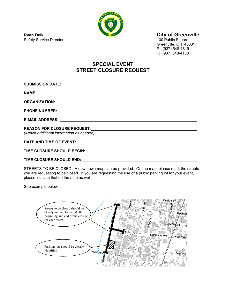

Greenville, OH 45331 P: (937) 548-1819 F: (937) 548-4103

# **SPECIAL EVENT STREET CLOSURE REQUEST**

| <b>SUBMISSION DATE:</b> ________________  |
|-------------------------------------------|
|                                           |
|                                           |
|                                           |
|                                           |
| (Attach additional information as needed) |
|                                           |
|                                           |

**TIME CLOSURE SHOULD END:**

STREETS TO BE CLOSED: A downtown map can be provided. On the map, please mark the streets you are requesting to be closed. If you are requesting the use of a public parking lot for your event, please indicate that on the map as well.

See example below:



**Ryan Delk City of Greenville**<br>
Safety Service Director **City of Greenville**<br>
Safety Service Director Safety Service Director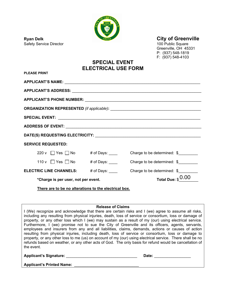

Safety Service Director **100 Public Square** 100 Public Square

**PLEASE PRINT** 

# **Ryan Delk City of Greenville**

Greenville, OH 45331 P: (937) 548-1819 F: (937) 548-4103

# **SPECIAL EVENT ELECTRICAL USE FORM**

| <u>I LLAVL I IVIN I</u>                               |                                                                       |
|-------------------------------------------------------|-----------------------------------------------------------------------|
|                                                       |                                                                       |
|                                                       |                                                                       |
|                                                       |                                                                       |
|                                                       |                                                                       |
|                                                       |                                                                       |
|                                                       |                                                                       |
|                                                       |                                                                       |
| <b>SERVICE REQUESTED:</b>                             |                                                                       |
| $220 \text{ v}$ Yes $\Box$ No # of Days:              | Charge to be determined: \$                                           |
|                                                       | 110 v Yes No # of Days: Charge to be determined: \$                   |
|                                                       | <b>ELECTRIC LINE CHANNELS:</b> # of Days: Charge to be determined: \$ |
| *Charge is per user, not per event.                   | Total Due: $$0.00$                                                    |
| There are to be no alterations to the electrical box. |                                                                       |

**Release of Claims** 

I (We) recognize and acknowledge that there are certain risks and I (we) agree to assume all risks, including any resulting from physical injuries, death, loss of service or consortium, loss or damage of property, or any other loss which I (we) may sustain as a result of my (our) using electrical service. Furthermore, I (we) promise not to sue the City of Greenville and its officers, agents, servants, employees and insurers from any and all liabilities, claims, demands, actions or causes of action resulting from physical injuries, including death, loss of service or consortium, loss or damage to property, or any other loss to me (us) on account of my (our) using electrical service. There shall be no refunds based on weather, or any other acts of God. The only basis for refund would be cancellation of the event.

Applicant's Signature: **Date: Date: Date: D** 

| ٠<br>г.<br>۰ |  |  |  |
|--------------|--|--|--|
|              |  |  |  |

| <b>Applicant's Printed Name:</b> |  |
|----------------------------------|--|
|                                  |  |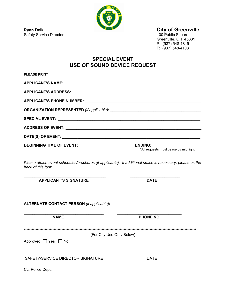

**Ryan Delk** City of Greenville

100 Public Square<br>Greenville, OH 45331 P: (937) 548-1819 F: (937) 548-4103

# **SPECIAL EVENT USE OF SOUND DEVICE REQUEST**

| <b>PLEASE PRINT</b>                                                                                                                                                                                                            |             |
|--------------------------------------------------------------------------------------------------------------------------------------------------------------------------------------------------------------------------------|-------------|
| APPLICANT'S NAME: The contract of the contract of the contract of the contract of the contract of the contract of the contract of the contract of the contract of the contract of the contract of the contract of the contract |             |
|                                                                                                                                                                                                                                |             |
| APPLICANT'S PHONE NUMBER: 2008 2010 2020 2021 2021 2022 2023 2024 2022 2023 2024 2022 2023 2024 2022 2023 2024                                                                                                                 |             |
|                                                                                                                                                                                                                                |             |
|                                                                                                                                                                                                                                |             |
|                                                                                                                                                                                                                                |             |
|                                                                                                                                                                                                                                |             |
|                                                                                                                                                                                                                                |             |
| Please attach event schedules/brochures (if applicable). If additional space is necessary, please us the<br>back of this form.                                                                                                 |             |
| <b>APPLICANT'S SIGNATURE</b>                                                                                                                                                                                                   | <b>DATE</b> |
| <b>ALTERNATE CONTACT PERSON</b> (if applicable):                                                                                                                                                                               |             |
| <b>NAME</b>                                                                                                                                                                                                                    | PHONE NO.   |
| (For City Use Only Below)                                                                                                                                                                                                      |             |
| Approved: $\Box$ Yes $\Box$ No                                                                                                                                                                                                 |             |
| SAFETY/SERVICE DIRECTOR SIGNATURE                                                                                                                                                                                              | <b>DATE</b> |
| Cc: Police Dept.                                                                                                                                                                                                               |             |

Safety Service Director